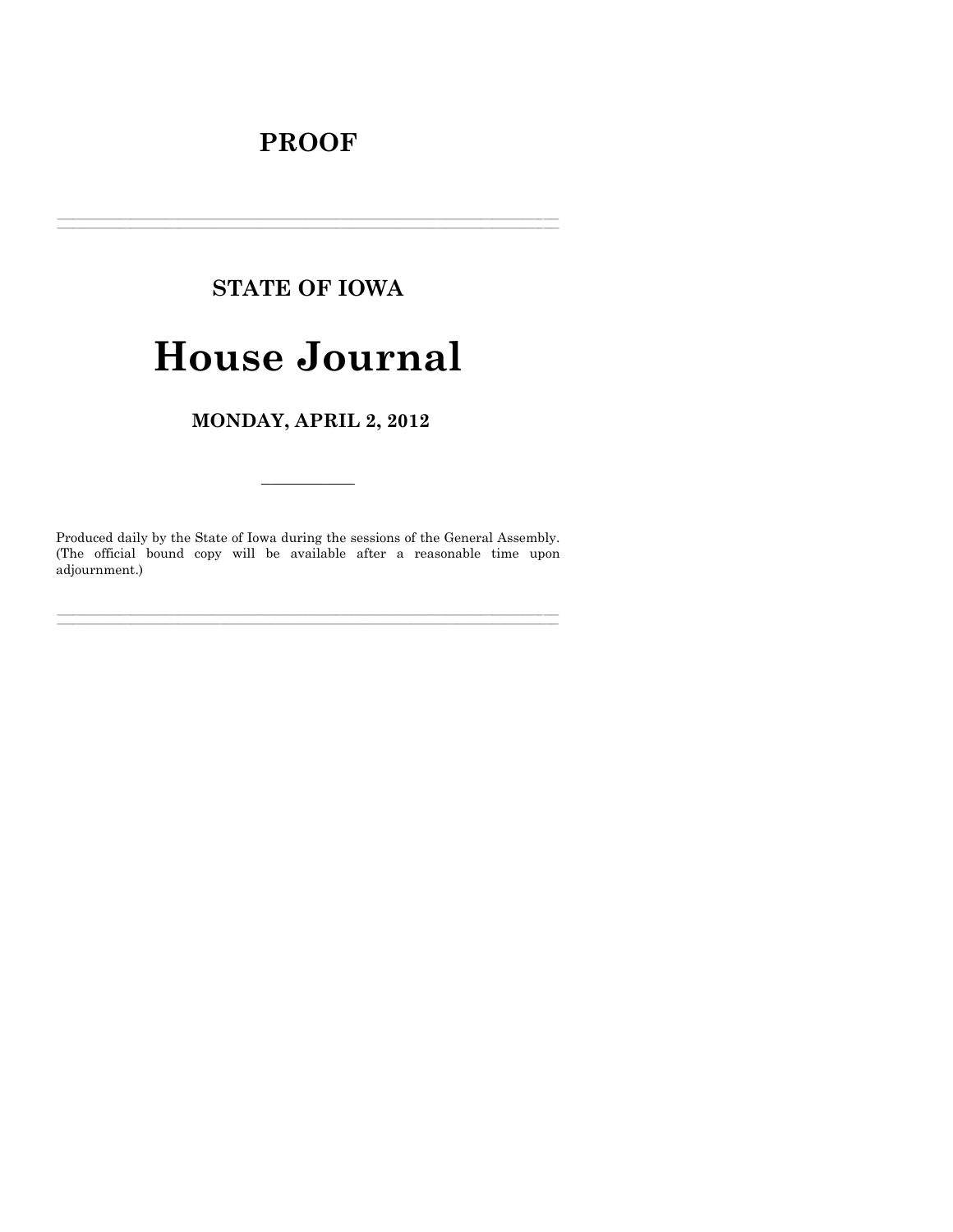# **PROOF**

# **STATE OF IOWA**

# **House Journal**

MONDAY, APRIL 2, 2012

Produced daily by the State of Iowa during the sessions of the General Assembly. (The official bound copy will be available after a reasonable time upon adjournment.)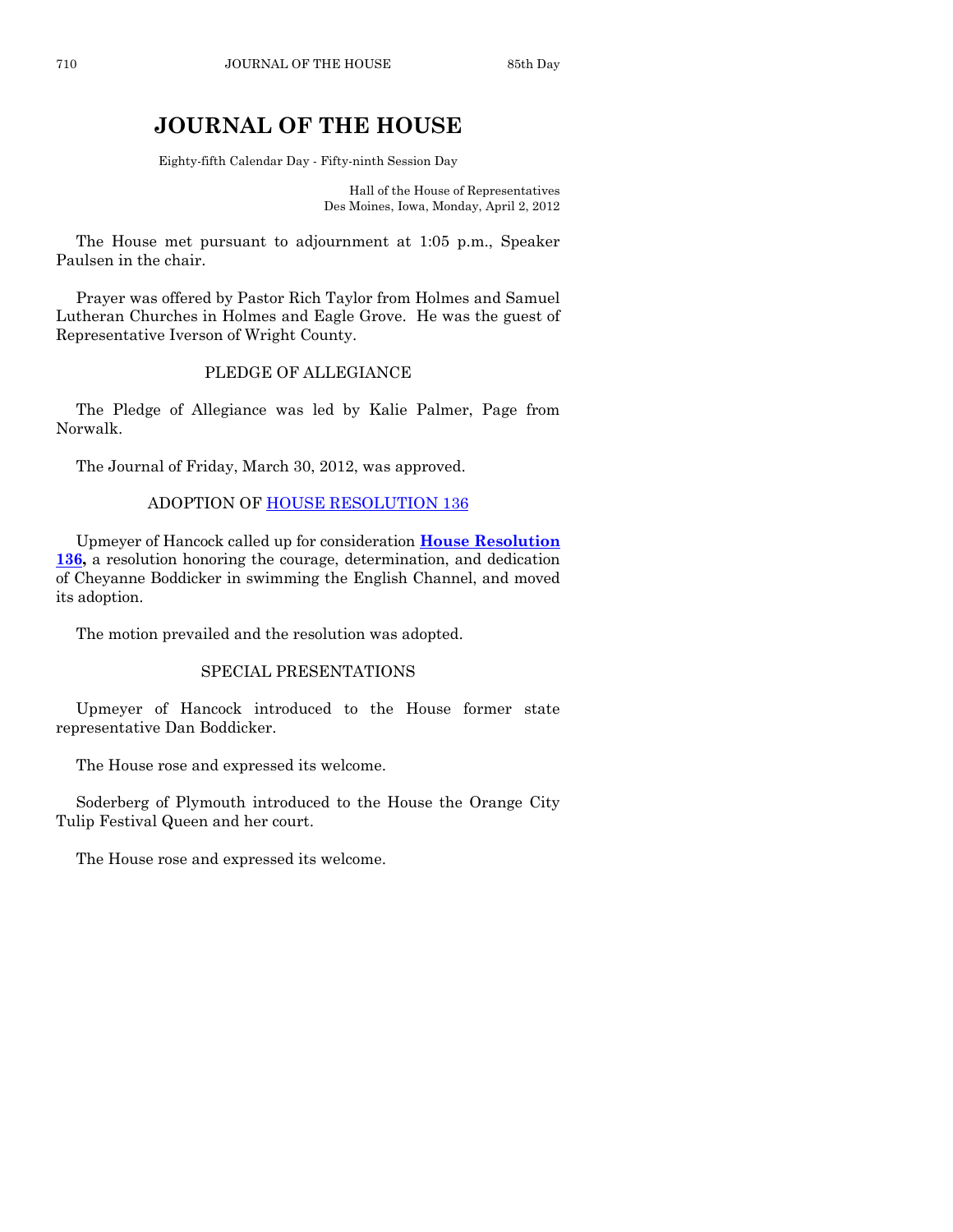## **JOURNAL OF THE HOUSE**

Eighty-fifth Calendar Day - Fifty-ninth Session Day

Hall of the House of Representatives Des Moines, Iowa, Monday, April 2, 2012

The House met pursuant to adjournment at 1:05 p.m., Speaker Paulsen in the chair.

Prayer was offered by Pastor Rich Taylor from Holmes and Samuel Lutheran Churches in Holmes and Eagle Grove. He was the guest of Representative Iverson of Wright County.

## PLEDGE OF ALLEGIANCE

The Pledge of Allegiance was led by Kalie Palmer, Page from Norwalk.

The Journal of Friday, March 30, 2012, was approved.

## ADOPTION OF [HOUSE RESOLUTION 136](http://coolice.legis.state.ia.us/Cool-ICE/default.asp?Category=billinfo&Service=Billbook&frame=1&GA=84&hbill=HR136)

Upmeyer of Hancock called up for consideration **[House Resolution](http://coolice.legis.state.ia.us/Cool-ICE/default.asp?Category=billinfo&Service=Billbook&frame=1&GA=84&hbill=HR136)  [136,](http://coolice.legis.state.ia.us/Cool-ICE/default.asp?Category=billinfo&Service=Billbook&frame=1&GA=84&hbill=HR136)** a resolution honoring the courage, determination, and dedication of Cheyanne Boddicker in swimming the English Channel, and moved its adoption.

The motion prevailed and the resolution was adopted.

#### SPECIAL PRESENTATIONS

Upmeyer of Hancock introduced to the House former state representative Dan Boddicker.

The House rose and expressed its welcome.

Soderberg of Plymouth introduced to the House the Orange City Tulip Festival Queen and her court.

The House rose and expressed its welcome.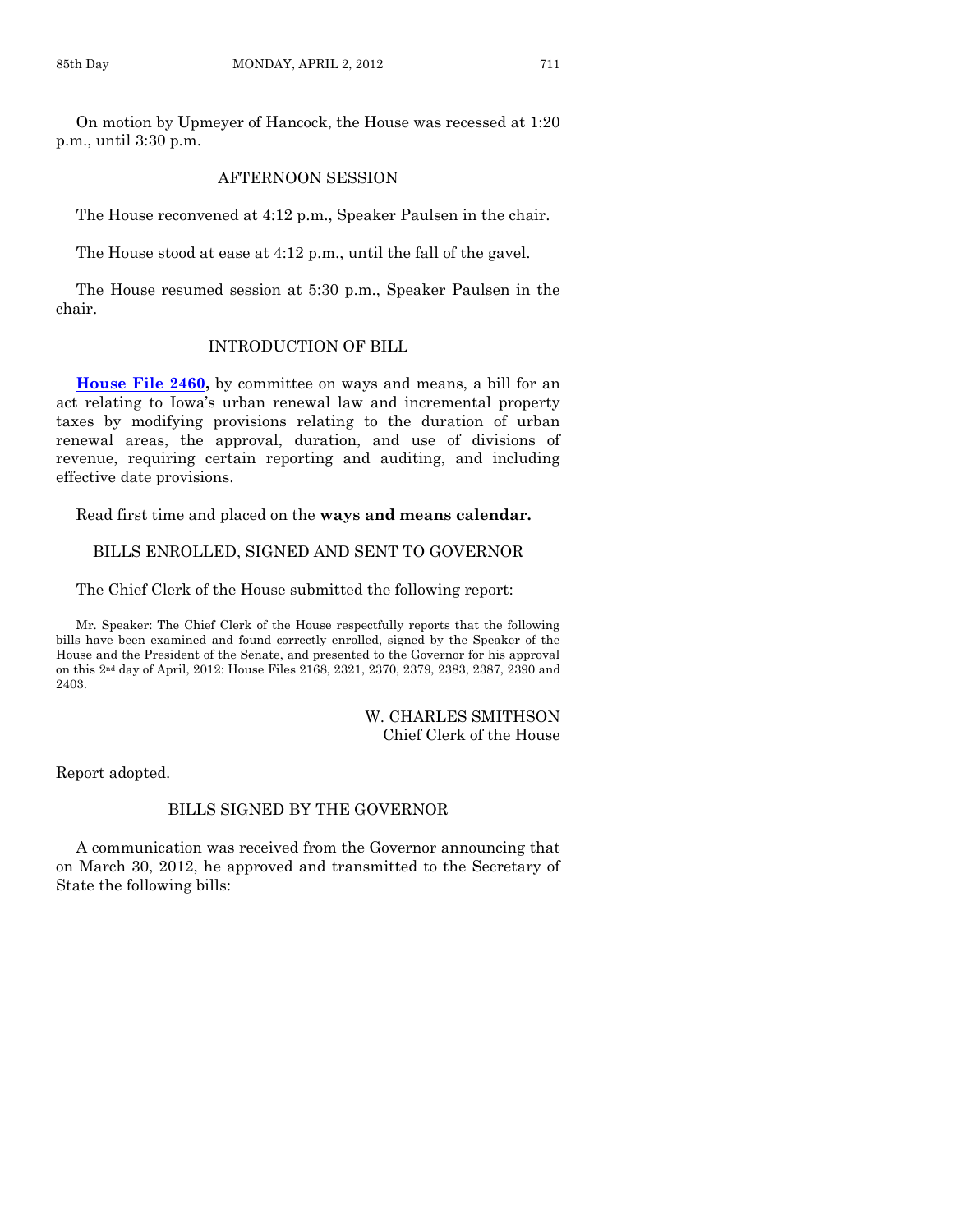On motion by Upmeyer of Hancock, the House was recessed at 1:20 p.m., until 3:30 p.m.

#### AFTERNOON SESSION

The House reconvened at 4:12 p.m., Speaker Paulsen in the chair.

The House stood at ease at 4:12 p.m., until the fall of the gavel.

The House resumed session at 5:30 p.m., Speaker Paulsen in the chair.

#### INTRODUCTION OF BILL

**[House File 2460,](http://coolice.legis.state.ia.us/Cool-ICE/default.asp?Category=billinfo&Service=Billbook&frame=1&GA=84&hbill=HF2460)** by committee on ways and means, a bill for an act relating to Iowa's urban renewal law and incremental property taxes by modifying provisions relating to the duration of urban renewal areas, the approval, duration, and use of divisions of revenue, requiring certain reporting and auditing, and including effective date provisions.

Read first time and placed on the **ways and means calendar.**

#### BILLS ENROLLED, SIGNED AND SENT TO GOVERNOR

The Chief Clerk of the House submitted the following report:

Mr. Speaker: The Chief Clerk of the House respectfully reports that the following bills have been examined and found correctly enrolled, signed by the Speaker of the House and the President of the Senate, and presented to the Governor for his approval on this 2nd day of April, 2012: House Files 2168, 2321, 2370, 2379, 2383, 2387, 2390 and 2403.

#### W. CHARLES SMITHSON Chief Clerk of the House

Report adopted.

#### BILLS SIGNED BY THE GOVERNOR

A communication was received from the Governor announcing that on March 30, 2012, he approved and transmitted to the Secretary of State the following bills: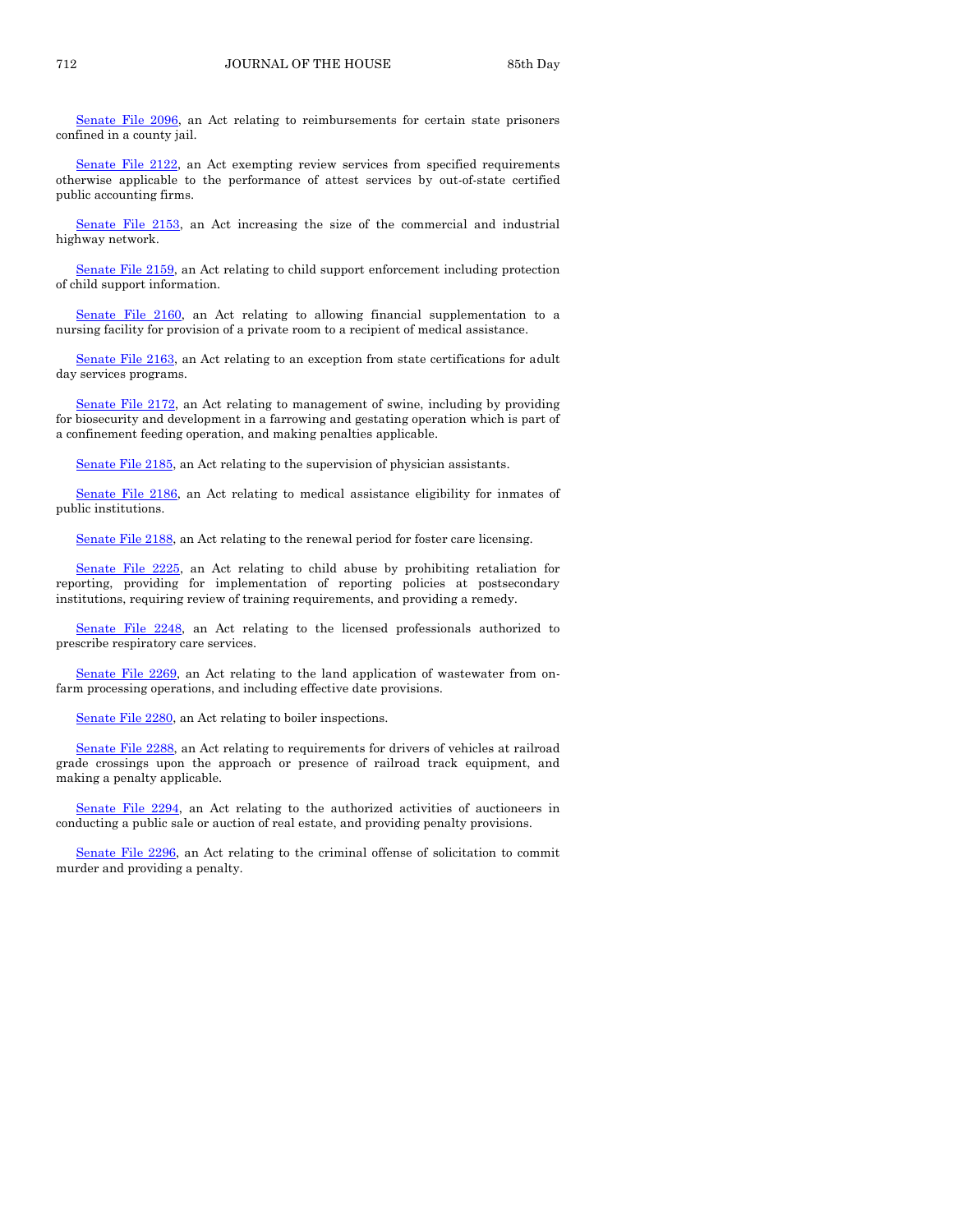[Senate File 2096,](http://coolice.legis.state.ia.us/Cool-ICE/default.asp?Category=billinfo&Service=Billbook&frame=1&GA=84&hbill=SF2096) an Act relating to reimbursements for certain state prisoners confined in a county jail.

[Senate File 2122,](http://coolice.legis.state.ia.us/Cool-ICE/default.asp?Category=billinfo&Service=Billbook&frame=1&GA=84&hbill=SF2122) an Act exempting review services from specified requirements otherwise applicable to the performance of attest services by out-of-state certified public accounting firms.

[Senate File 2153,](http://coolice.legis.state.ia.us/Cool-ICE/default.asp?Category=billinfo&Service=Billbook&frame=1&GA=84&hbill=SF2153) an Act increasing the size of the commercial and industrial highway network.

[Senate File 2159,](http://coolice.legis.state.ia.us/Cool-ICE/default.asp?Category=billinfo&Service=Billbook&frame=1&GA=84&hbill=SF2159) an Act relating to child support enforcement including protection of child support information.

[Senate File 2160,](http://coolice.legis.state.ia.us/Cool-ICE/default.asp?Category=billinfo&Service=Billbook&frame=1&GA=84&hbill=SF2160) an Act relating to allowing financial supplementation to a nursing facility for provision of a private room to a recipient of medical assistance.

[Senate File 2163,](http://coolice.legis.state.ia.us/Cool-ICE/default.asp?Category=billinfo&Service=Billbook&frame=1&GA=84&hbill=SF2163) an Act relating to an exception from state certifications for adult day services programs.

[Senate File 2172,](http://coolice.legis.state.ia.us/Cool-ICE/default.asp?Category=billinfo&Service=Billbook&frame=1&GA=84&hbill=SF2172) an Act relating to management of swine, including by providing for biosecurity and development in a farrowing and gestating operation which is part of a confinement feeding operation, and making penalties applicable.

[Senate File 2185,](http://coolice.legis.state.ia.us/Cool-ICE/default.asp?Category=billinfo&Service=Billbook&frame=1&GA=84&hbill=SF2185) an Act relating to the supervision of physician assistants.

[Senate File 2186,](http://coolice.legis.state.ia.us/Cool-ICE/default.asp?Category=billinfo&Service=Billbook&frame=1&GA=84&hbill=SF2186) an Act relating to medical assistance eligibility for inmates of public institutions.

[Senate File 2188,](http://coolice.legis.state.ia.us/Cool-ICE/default.asp?Category=billinfo&Service=Billbook&frame=1&GA=84&hbill=SF2188) an Act relating to the renewal period for foster care licensing.

[Senate File 2225,](http://coolice.legis.state.ia.us/Cool-ICE/default.asp?Category=billinfo&Service=Billbook&frame=1&GA=84&hbill=SF2225) an Act relating to child abuse by prohibiting retaliation for reporting, providing for implementation of reporting policies at postsecondary institutions, requiring review of training requirements, and providing a remedy.

[Senate File 2248,](http://coolice.legis.state.ia.us/Cool-ICE/default.asp?Category=billinfo&Service=Billbook&frame=1&GA=84&hbill=SF2248) an Act relating to the licensed professionals authorized to prescribe respiratory care services.

[Senate File 2269,](http://coolice.legis.state.ia.us/Cool-ICE/default.asp?Category=billinfo&Service=Billbook&frame=1&GA=84&hbill=SF2269) an Act relating to the land application of wastewater from onfarm processing operations, and including effective date provisions.

[Senate File 2280,](http://coolice.legis.state.ia.us/Cool-ICE/default.asp?Category=billinfo&Service=Billbook&frame=1&GA=84&hbill=SF2280) an Act relating to boiler inspections.

[Senate File 2288,](http://coolice.legis.state.ia.us/Cool-ICE/default.asp?Category=billinfo&Service=Billbook&frame=1&GA=84&hbill=SF2288) an Act relating to requirements for drivers of vehicles at railroad grade crossings upon the approach or presence of railroad track equipment, and making a penalty applicable.

[Senate File 2294,](http://coolice.legis.state.ia.us/Cool-ICE/default.asp?Category=billinfo&Service=Billbook&frame=1&GA=84&hbill=SF2294) an Act relating to the authorized activities of auctioneers in conducting a public sale or auction of real estate, and providing penalty provisions.

[Senate File 2296,](http://coolice.legis.state.ia.us/Cool-ICE/default.asp?Category=billinfo&Service=Billbook&frame=1&GA=84&hbill=SF2296) an Act relating to the criminal offense of solicitation to commit murder and providing a penalty.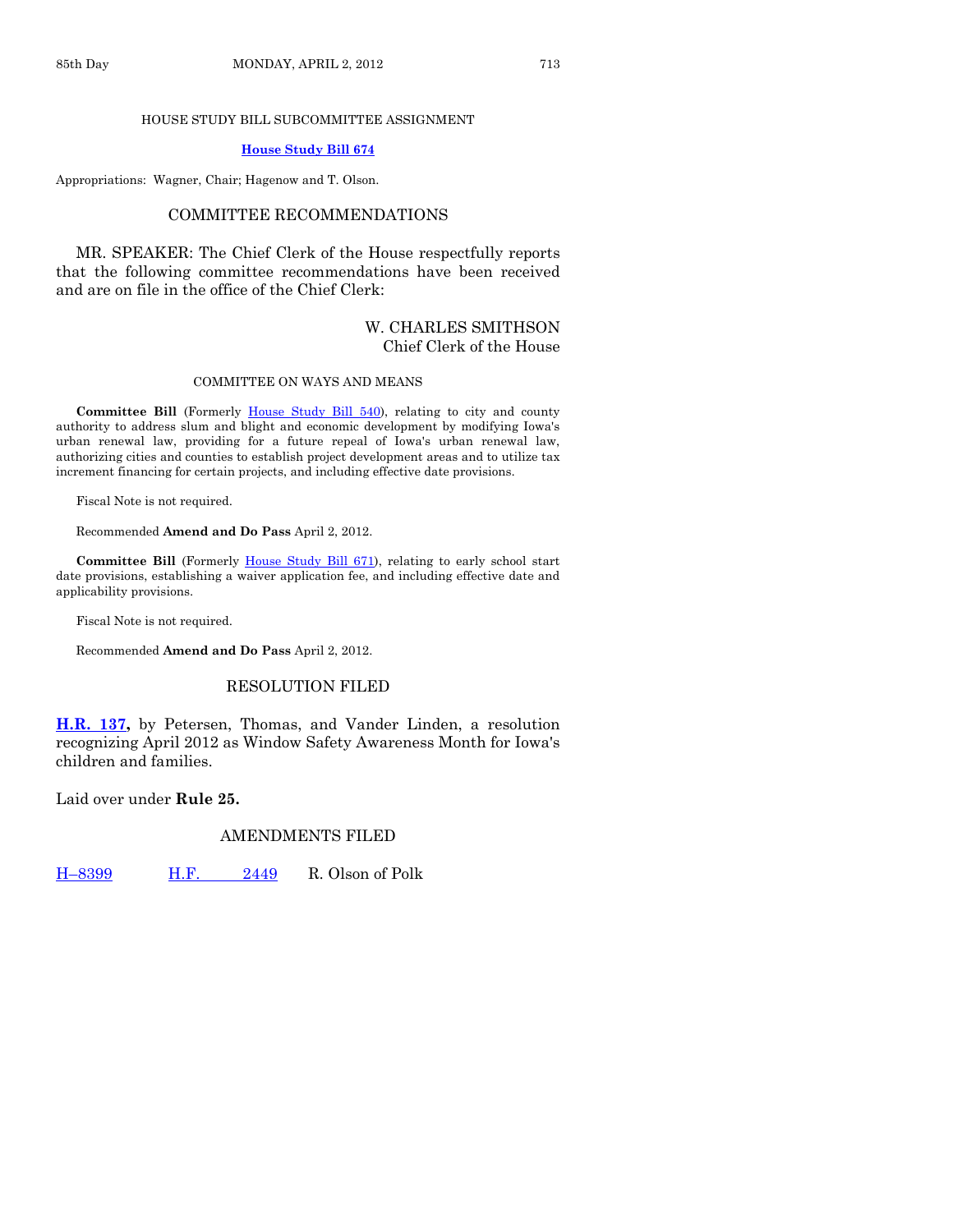#### HOUSE STUDY BILL SUBCOMMITTEE ASSIGNMENT

#### **[House Study Bill 674](http://coolice.legis.state.ia.us/Cool-ICE/default.asp?Category=billinfo&Service=Billbook&frame=1&GA=84&hbill=HSB674)**

Appropriations: Wagner, Chair; Hagenow and T. Olson.

### COMMITTEE RECOMMENDATIONS

MR. SPEAKER: The Chief Clerk of the House respectfully reports that the following committee recommendations have been received and are on file in the office of the Chief Clerk:

#### W. CHARLES SMITHSON Chief Clerk of the House

#### COMMITTEE ON WAYS AND MEANS

Committee Bill (Formerly [House Study Bill 540\)](http://coolice.legis.state.ia.us/Cool-ICE/default.asp?Category=billinfo&Service=Billbook&frame=1&GA=84&hbill=HSB540), relating to city and county authority to address slum and blight and economic development by modifying Iowa's urban renewal law, providing for a future repeal of Iowa's urban renewal law, authorizing cities and counties to establish project development areas and to utilize tax increment financing for certain projects, and including effective date provisions.

Fiscal Note is not required.

Recommended **Amend and Do Pass** April 2, 2012.

**Committee Bill** (Formerly [House Study Bill 671\)](http://coolice.legis.state.ia.us/Cool-ICE/default.asp?Category=billinfo&Service=Billbook&frame=1&GA=84&hbill=HSB671), relating to early school start date provisions, establishing a waiver application fee, and including effective date and applicability provisions.

Fiscal Note is not required.

Recommended **Amend and Do Pass** April 2, 2012.

#### RESOLUTION FILED

**[H.R. 137,](http://coolice.legis.state.ia.us/Cool-ICE/default.asp?Category=billinfo&Service=Billbook&frame=1&GA=84&hbill=HR137)** by Petersen, Thomas, and Vander Linden, a resolution recognizing April 2012 as Window Safety Awareness Month for Iowa's children and families.

Laid over under **Rule 25.**

#### AMENDMENTS FILED

H–[8399](http://coolice.legis.state.ia.us/Cool-ICE/default.asp?Category=billinfo&Service=Billbook&frame=1&GA=84&hbill=H8399) H.F. [2449](http://coolice.legis.state.ia.us/Cool-ICE/default.asp?Category=billinfo&Service=Billbook&frame=1&GA=84&hbill=HF2449) R. Olson of Polk